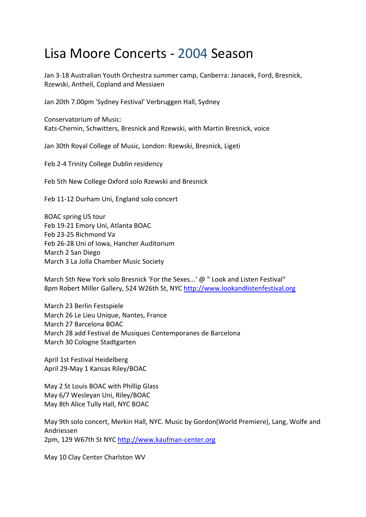## Lisa Moore Concerts ‐ 2004 Season

Jan 3‐18 Australian Youth Orchestra summer camp, Canberra: Janacek, Ford, Bresnick, Rzewski, Antheil, Copland and Messiaen

Jan 20th 7.00pm 'Sydney Festival' Verbruggen Hall, Sydney

Conservatorium of Music: Kats‐Chernin, Schwitters, Bresnick and Rzewski, with Martin Bresnick, voice

Jan 30th Royal College of Music, London: Rzewski, Bresnick, Ligeti

Feb 2‐4 Trinity College Dublin residency

Feb 5th New College Oxford solo Rzewski and Bresnick

Feb 11‐12 Durham Uni, England solo concert

BOAC spring US tour Feb 19‐21 Emory Uni, Atlanta BOAC Feb 23‐25 Richmond Va Feb 26‐28 Uni of Iowa, Hancher Auditorium March 2 San Diego March 3 La Jolla Chamber Music Society

March 5th New York solo Bresnick 'For the Sexes...' @ " Look and Listen Festival" 8pm Robert Miller Gallery, 524 W26th St, NYC http://www.lookandlistenfestival.org

March 23 Berlin Festspiele March 26 Le Lieu Unique, Nantes, France March 27 Barcelona BOAC March 28 add Festival de Musiques Contemporanes de Barcelona March 30 Cologne Stadtgarten

April 1st Festival Heidelberg April 29‐May 1 Kansas Riley/BOAC

May 2 St Louis BOAC with Phillip Glass May 6/7 Wesleyan Uni, Riley/BOAC May 8th Alice Tully Hall, NYC BOAC

May 9th solo concert, Merkin Hall, NYC. Music by Gordon(World Premiere), Lang, Wolfe and Andriessen 2pm, 129 W67th St NYC http://www.kaufman‐center.org

May 10 Clay Center Charlston WV